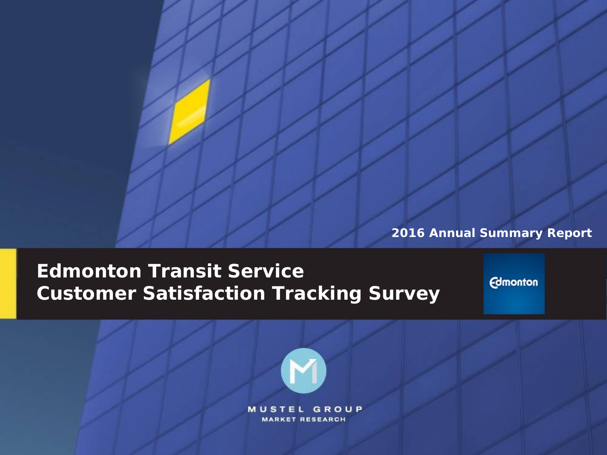**2016 Annual Summary Report**

## **Edmonton Transit Service Customer Satisfaction Tracking Survey**

**Edmonton** 

**2016 Annual Summary Report**

**MUSTEL GROUP MARKET RESEARCH**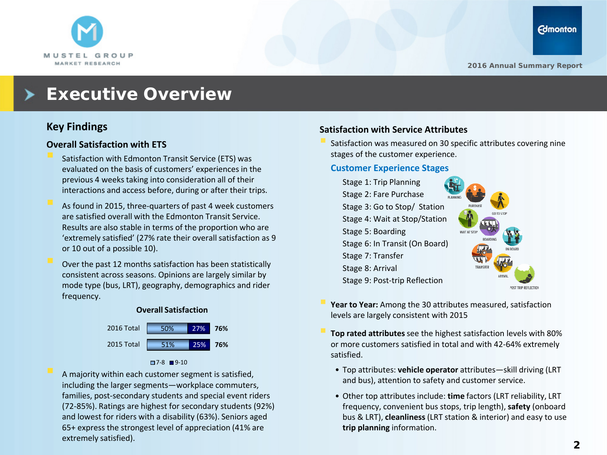

## **Executive Overview**

### **Key Findings**

#### **Overall Satisfaction with ETS**

- Satisfaction with Edmonton Transit Service (ETS) was evaluated on the basis of customers' experiences in the previous 4 weeks taking into consideration all of their interactions and access before, during or after their trips.
- As found in 2015, three-quarters of past 4 week customers are satisfied overall with the Edmonton Transit Service. Results are also stable in terms of the proportion who are 'extremely satisfied' (27% rate their overall satisfaction as 9 or 10 out of a possible 10).
- Over the past 12 months satisfaction has been statistically consistent across seasons. Opinions are largely similar by mode type (bus, LRT), geography, demographics and rider frequency.

#### **Overall Satisfaction**



#### $7-8$  9-10

 A majority within each customer segment is satisfied, including the larger segments—workplace commuters, families, post-secondary students and special event riders (72-85%). Ratings are highest for secondary students (92%) and lowest for riders with a disability (63%). Seniors aged 65+ express the strongest level of appreciation (41% are extremely satisfied).

#### **Satisfaction with Service Attributes**

 Satisfaction was measured on 30 specific attributes covering nine stages of the customer experience.

#### **Customer Experience Stages**



- **Year to Year:** Among the 30 attributes measured, satisfaction levels are largely consistent with 2015
- **Top rated attributes** see the highest satisfaction levels with 80% or more customers satisfied in total and with 42-64% extremely satisfied.
	- Top attributes: **vehicle operator** attributes—skill driving (LRT and bus), attention to safety and customer service.
	- Other top attributes include: **time** factors (LRT reliability, LRT frequency, convenient bus stops, trip length), **safety** (onboard bus & LRT), **cleanliness** (LRT station & interior) and easy to use **trip planning** information.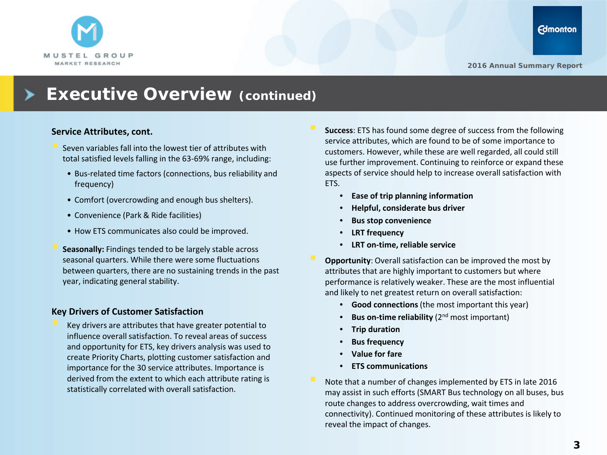

### **Executive Overview (continued)**

#### **Service Attributes, cont.**

- Seven variables fall into the lowest tier of attributes with total satisfied levels falling in the 63-69% range, including:
	- Bus-related time factors (connections, bus reliability and frequency)
	- Comfort (overcrowding and enough bus shelters).
	- Convenience (Park & Ride facilities)
	- How ETS communicates also could be improved.
- **Seasonally:** Findings tended to be largely stable across seasonal quarters. While there were some fluctuations between quarters, there are no sustaining trends in the past year, indicating general stability.

#### **Key Drivers of Customer Satisfaction**

 Key drivers are attributes that have greater potential to influence overall satisfaction. To reveal areas of success and opportunity for ETS, key drivers analysis was used to create Priority Charts, plotting customer satisfaction and importance for the 30 service attributes. Importance is derived from the extent to which each attribute rating is statistically correlated with overall satisfaction.

- **Success**: ETS has found some degree of success from the following service attributes, which are found to be of some importance to customers. However, while these are well regarded, all could still use further improvement. Continuing to reinforce or expand these aspects of service should help to increase overall satisfaction with ETS.
	- **Ease of trip planning information**
	- **Helpful, considerate bus driver**
	- **Bus stop convenience**
	- **LRT frequency**
	- **LRT on-time, reliable service**
- **Opportunity**: Overall satisfaction can be improved the most by attributes that are highly important to customers but where performance is relatively weaker. These are the most influential and likely to net greatest return on overall satisfaction:
	- **Good connections**(the most important this year)
	- **Bus on-time reliability** (2<sup>nd</sup> most important)
	- **Trip duration**
	- **Bus frequency**
	- **Value for fare**
	- **ETS communications**
- Note that a number of changes implemented by ETS in late 2016 may assist in such efforts (SMART Bus technology on all buses, bus route changes to address overcrowding, wait times and connectivity). Continued monitoring of these attributes is likely to reveal the impact of changes.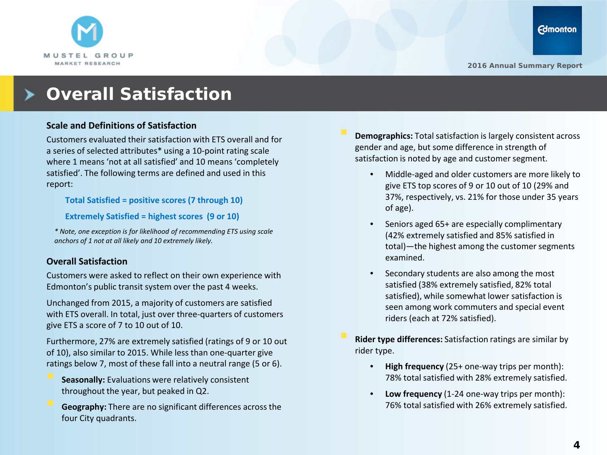

## **Overall Satisfaction**

#### **Scale and Definitions of Satisfaction**

Customers evaluated their satisfaction with ETS overall and for a series of selected attributes\* using a 10-point rating scale where 1 means 'not at all satisfied' and 10 means 'completely satisfied'. The following terms are defined and used in this report:

**Total Satisfied = positive scores (7 through 10)**

**Extremely Satisfied = highest scores (9 or 10)**

*\* Note, one exception is for likelihood of recommending ETS using scale anchors of 1 not at all likely and 10 extremely likely.*

#### **Overall Satisfaction**

Customers were asked to reflect on their own experience with Edmonton's public transit system over the past 4 weeks.

Unchanged from 2015, a majority of customers are satisfied with ETS overall. In total, just over three-quarters of customers give ETS a score of 7 to 10 out of 10.

Furthermore, 27% are extremely satisfied (ratings of 9 or 10 out of 10), also similar to 2015. While less than one-quarter give ratings below 7, most of these fall into a neutral range (5 or 6).

- **Seasonally:** Evaluations were relatively consistent throughout the year, but peaked in Q2.
- **Geography:** There are no significant differences across the four City quadrants.
- **Demographics:** Total satisfaction is largely consistent across gender and age, but some difference in strength of satisfaction is noted by age and customer segment.
	- Middle-aged and older customers are more likely to give ETS top scores of 9 or 10 out of 10 (29% and 37%, respectively, vs. 21% for those under 35 years of age).
	- Seniors aged 65+ are especially complimentary (42% extremely satisfied and 85% satisfied in total)—the highest among the customer segments examined.
	- Secondary students are also among the most satisfied (38% extremely satisfied, 82% total satisfied), while somewhat lower satisfaction is seen among work commuters and special event riders (each at 72% satisfied).

 **Rider type differences:** Satisfaction ratings are similar by rider type.

- **High frequency** (25+ one-way trips per month): 78% total satisfied with 28% extremely satisfied.
- **Low frequency** (1-24 one-way trips per month): 76% total satisfied with 26% extremely satisfied.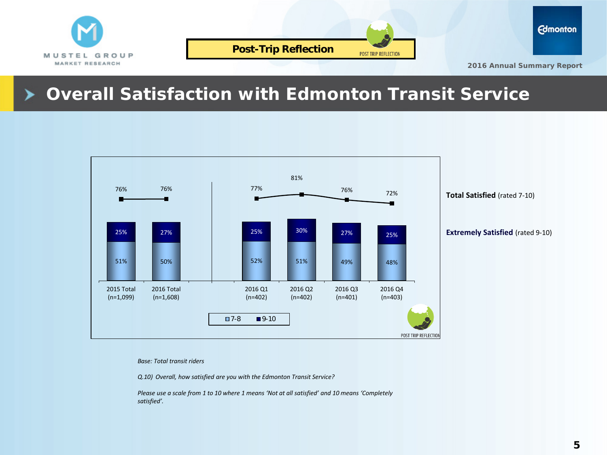



**2016 Annual Summary Report**

## **Overall Satisfaction with Edmonton Transit Service**



*Base: Total transit riders* 

*Q.10) Overall, how satisfied are you with the Edmonton Transit Service?*

*Please use a scale from 1 to 10 where 1 means 'Not at all satisfied' and 10 means 'Completely satisfied'.*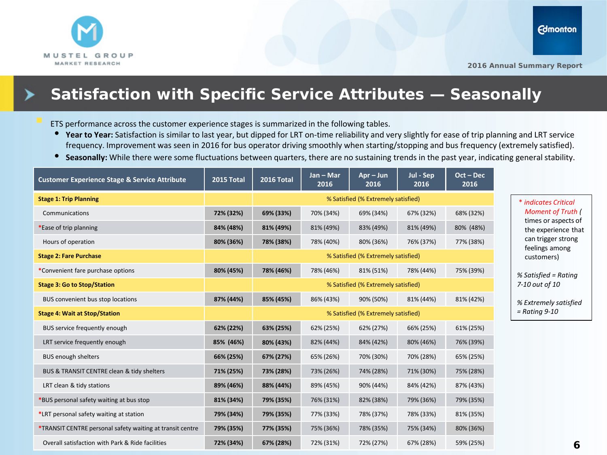

### **Satisfaction with Specific Service Attributes — Seasonally**

ETS performance across the customer experience stages is summarized in the following tables.

- **Year to Year:** Satisfaction is similar to last year, but dipped for LRT on-time reliability and very slightly for ease of trip planning and LRT service frequency. Improvement was seen in 2016 for bus operator driving smoothly when starting/stopping and bus frequency (extremely satisfied).
- **Seasonally:** While there were some fluctuations between quarters, there are no sustaining trends in the past year, indicating general stability.

| <b>Customer Experience Stage &amp; Service Attribute</b>  | 2015 Total | 2016 Total                          | Jan - Mar<br>2016 | $Apr - Jun$<br>2016 | Jul - Sep<br>2016 | $Oct - Dec$<br>2016 |  |
|-----------------------------------------------------------|------------|-------------------------------------|-------------------|---------------------|-------------------|---------------------|--|
| <b>Stage 1: Trip Planning</b>                             |            | % Satisfied (% Extremely satisfied) |                   |                     |                   |                     |  |
| Communications                                            | 72% (32%)  | 69% (33%)                           | 70% (34%)         | 69% (34%)           | 67% (32%)         | 68% (32%)           |  |
| *Ease of trip planning                                    | 84% (48%)  | 81% (49%)                           | 81% (49%)         | 83% (49%)           | 81% (49%)         | 80% (48%)           |  |
| Hours of operation                                        | 80% (36%)  | 78% (38%)                           | 78% (40%)         | 80% (36%)           | 76% (37%)         | 77% (38%)           |  |
| <b>Stage 2: Fare Purchase</b>                             |            | % Satisfied (% Extremely satisfied) |                   |                     |                   |                     |  |
| *Convenient fare purchase options                         | 80% (45%)  | 78% (46%)                           | 78% (46%)         | 81% (51%)           | 78% (44%)         | 75% (39%)           |  |
| <b>Stage 3: Go to Stop/Station</b>                        |            | % Satisfied (% Extremely satisfied) |                   |                     |                   |                     |  |
| BUS convenient bus stop locations                         | 87% (44%)  | 85% (45%)                           | 86% (43%)         | 90% (50%)           | 81% (44%)         | 81% (42%)           |  |
| <b>Stage 4: Wait at Stop/Station</b>                      |            | % Satisfied (% Extremely satisfied) |                   |                     |                   |                     |  |
| BUS service frequently enough                             | 62% (22%)  | 63% (25%)                           | 62% (25%)         | 62% (27%)           | 66% (25%)         | 61% (25%)           |  |
| LRT service frequently enough                             | 85% (46%)  | 80% (43%)                           | 82% (44%)         | 84% (42%)           | 80% (46%)         | 76% (39%)           |  |
| <b>BUS enough shelters</b>                                | 66% (25%)  | 67% (27%)                           | 65% (26%)         | 70% (30%)           | 70% (28%)         | 65% (25%)           |  |
| BUS & TRANSIT CENTRE clean & tidy shelters                | 71% (25%)  | 73% (28%)                           | 73% (26%)         | 74% (28%)           | 71% (30%)         | 75% (28%)           |  |
| LRT clean & tidy stations                                 | 89% (46%)  | 88% (44%)                           | 89% (45%)         | 90% (44%)           | 84% (42%)         | 87% (43%)           |  |
| *BUS personal safety waiting at bus stop                  | 81% (34%)  | 79% (35%)                           | 76% (31%)         | 82% (38%)           | 79% (36%)         | 79% (35%)           |  |
| *LRT personal safety waiting at station                   | 79% (34%)  | 79% (35%)                           | 77% (33%)         | 78% (37%)           | 78% (33%)         | 81% (35%)           |  |
| *TRANSIT CENTRE personal safety waiting at transit centre | 79% (35%)  | 77% (35%)                           | 75% (36%)         | 78% (35%)           | 75% (34%)         | 80% (36%)           |  |
| Overall satisfaction with Park & Ride facilities          | 72% (34%)  | 67% (28%)                           | 72% (31%)         | 72% (27%)           | 67% (28%)         | 59% (25%)           |  |

\* *indicates Critical Moment of Truth (* times or aspects of the experience that can trigger strong feelings among customers)

*% Satisfied = Rating 7-10 out of 10* 

*% Extremely satisfied = Rating 9-10*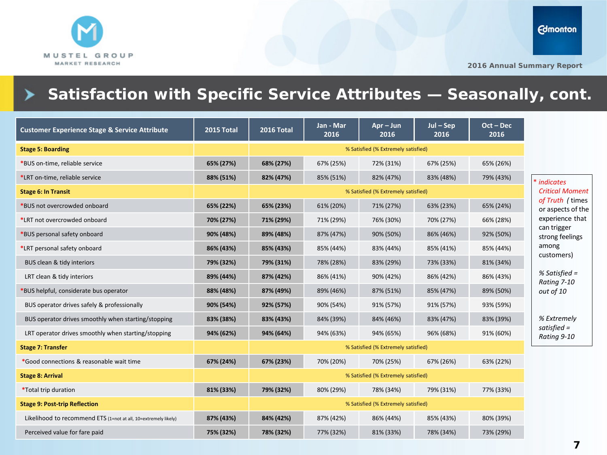

## **Satisfaction with Specific Service Attributes — Seasonally, cont.**

| <b>Customer Experience Stage &amp; Service Attribute</b>        | 2015 Total | 2016 Total                          | Jan - Mar<br>2016 | $Apr - Jun$<br>2016 | $Jul-Sep$<br>2016 | $Oct - Dec$<br>2016 |
|-----------------------------------------------------------------|------------|-------------------------------------|-------------------|---------------------|-------------------|---------------------|
| <b>Stage 5: Boarding</b>                                        |            | % Satisfied (% Extremely satisfied) |                   |                     |                   |                     |
| *BUS on-time, reliable service                                  | 65% (27%)  | 68% (27%)                           | 67% (25%)         | 72% (31%)           | 67% (25%)         | 65% (26%)           |
| *LRT on-time, reliable service                                  | 88% (51%)  | 82% (47%)                           | 85% (51%)         | 82% (47%)           | 83% (48%)         | 79% (43%)           |
| <b>Stage 6: In Transit</b>                                      |            | % Satisfied (% Extremely satisfied) |                   |                     |                   |                     |
| *BUS not overcrowded onboard                                    | 65% (22%)  | 65% (23%)                           | 61% (20%)         | 71% (27%)           | 63% (23%)         | 65% (24%)           |
| *LRT not overcrowded onboard                                    | 70% (27%)  | 71% (29%)                           | 71% (29%)         | 76% (30%)           | 70% (27%)         | 66% (28%)           |
| *BUS personal safety onboard                                    | 90% (48%)  | 89% (48%)                           | 87% (47%)         | 90% (50%)           | 86% (46%)         | 92% (50%)           |
| *LRT personal safety onboard                                    | 86% (43%)  | 85% (43%)                           | 85% (44%)         | 83% (44%)           | 85% (41%)         | 85% (44%)           |
| BUS clean & tidy interiors                                      | 79% (32%)  | 79% (31%)                           | 78% (28%)         | 83% (29%)           | 73% (33%)         | 81% (34%)           |
| LRT clean & tidy interiors                                      | 89% (44%)  | 87% (42%)                           | 86% (41%)         | 90% (42%)           | 86% (42%)         | 86% (43%)           |
| BUS helpful, considerate bus operator                           | 88% (48%)  | 87% (49%)                           | 89% (46%)         | 87% (51%)           | 85% (47%)         | 89% (50%)           |
| BUS operator drives safely & professionally                     | 90% (54%)  | 92% (57%)                           | 90% (54%)         | 91% (57%)           | 91% (57%)         | 93% (59%)           |
| BUS operator drives smoothly when starting/stopping             | 83% (38%)  | 83% (43%)                           | 84% (39%)         | 84% (46%)           | 83% (47%)         | 83% (39%)           |
| LRT operator drives smoothly when starting/stopping             | 94% (62%)  | 94% (64%)                           | 94% (63%)         | 94% (65%)           | 96% (68%)         | 91% (60%)           |
| <b>Stage 7: Transfer</b>                                        |            | % Satisfied (% Extremely satisfied) |                   |                     |                   |                     |
| *Good connections & reasonable wait time                        | 67% (24%)  | 67% (23%)                           | 70% (20%)         | 70% (25%)           | 67% (26%)         | 63% (22%)           |
| <b>Stage 8: Arrival</b>                                         |            | % Satisfied (% Extremely satisfied) |                   |                     |                   |                     |
| <i>*</i> Total trip duration                                    | 81% (33%)  | 79% (32%)                           | 80% (29%)         | 78% (34%)           | 79% (31%)         | 77% (33%)           |
| <b>Stage 9: Post-trip Reflection</b>                            |            | % Satisfied (% Extremely satisfied) |                   |                     |                   |                     |
| Likelihood to recommend ETS (1=not at all, 10=extremely likely) | 87% (43%)  | 84% (42%)                           | 87% (42%)         | 86% (44%)           | 85% (43%)         | 80% (39%)           |
| Perceived value for fare paid                                   | 75% (32%)  | 78% (32%)                           | 77% (32%)         | 81% (33%)           | 78% (34%)         | 73% (29%)           |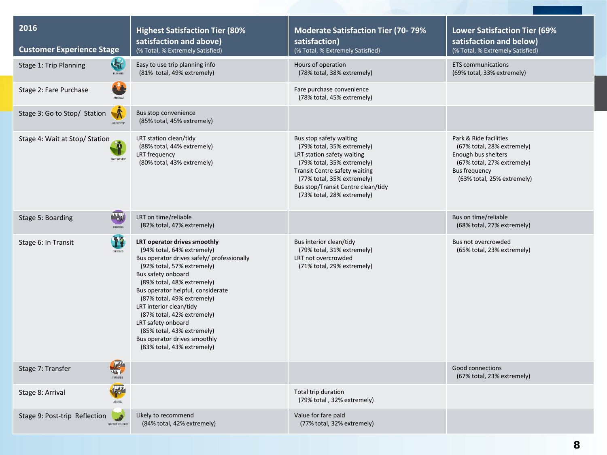| 2016<br><b>Customer Experience Stage</b>               | <b>Highest Satisfaction Tier (80%</b><br>satisfaction and above)<br>(% Total, % Extremely Satisfied)                                                                                                                                                                                                                                                                                                                                     | <b>Moderate Satisfaction Tier (70-79%</b><br>satisfaction)<br>(% Total, % Extremely Satisfied)                                                                                                                                                              | <b>Lower Satisfaction Tier (69%</b><br>satisfaction and below)<br>(% Total, % Extremely Satisfied)                                                              |
|--------------------------------------------------------|------------------------------------------------------------------------------------------------------------------------------------------------------------------------------------------------------------------------------------------------------------------------------------------------------------------------------------------------------------------------------------------------------------------------------------------|-------------------------------------------------------------------------------------------------------------------------------------------------------------------------------------------------------------------------------------------------------------|-----------------------------------------------------------------------------------------------------------------------------------------------------------------|
| 塩<br>Stage 1: Trip Planning<br><b>PLANNING</b>         | Easy to use trip planning info<br>(81% total, 49% extremely)                                                                                                                                                                                                                                                                                                                                                                             | Hours of operation<br>(78% total, 38% extremely)                                                                                                                                                                                                            | <b>ETS</b> communications<br>(69% total, 33% extremely)                                                                                                         |
| Stage 2: Fare Purchase<br>PURCHASE                     |                                                                                                                                                                                                                                                                                                                                                                                                                                          | Fare purchase convenience<br>(78% total, 45% extremely)                                                                                                                                                                                                     |                                                                                                                                                                 |
| Stage 3: Go to Stop/ Station<br>GO TO STOP             | Bus stop convenience<br>(85% total, 45% extremely)                                                                                                                                                                                                                                                                                                                                                                                       |                                                                                                                                                                                                                                                             |                                                                                                                                                                 |
| Stage 4: Wait at Stop/ Station<br>WAIT AT STOP         | LRT station clean/tidy<br>(88% total, 44% extremely)<br>LRT frequency<br>(80% total, 43% extremely)                                                                                                                                                                                                                                                                                                                                      | Bus stop safety waiting<br>(79% total, 35% extremely)<br>LRT station safety waiting<br>(79% total, 35% extremely)<br><b>Transit Centre safety waiting</b><br>(77% total, 35% extremely)<br>Bus stop/Transit Centre clean/tidy<br>(73% total, 28% extremely) | Park & Ride facilities<br>(67% total, 28% extremely)<br>Enough bus shelters<br>(67% total, 27% extremely)<br><b>Bus frequency</b><br>(63% total, 25% extremely) |
| $\mathbf{w}_t$<br>Stage 5: Boarding<br><b>ROARDING</b> | LRT on time/reliable<br>(82% total, 47% extremely)                                                                                                                                                                                                                                                                                                                                                                                       |                                                                                                                                                                                                                                                             | Bus on time/reliable<br>(68% total, 27% extremely)                                                                                                              |
| <b>WE</b><br>Stage 6: In Transit<br>ON BOARD           | LRT operator drives smoothly<br>(94% total, 64% extremely)<br>Bus operator drives safely/ professionally<br>(92% total, 57% extremely)<br>Bus safety onboard<br>(89% total, 48% extremely)<br>Bus operator helpful, considerate<br>(87% total, 49% extremely)<br>LRT interior clean/tidy<br>(87% total, 42% extremely)<br>LRT safety onboard<br>(85% total, 43% extremely)<br>Bus operator drives smoothly<br>(83% total, 43% extremely) | Bus interior clean/tidy<br>(79% total, 31% extremely)<br>LRT not overcrowded<br>(71% total, 29% extremely)                                                                                                                                                  | Bus not overcrowded<br>(65% total, 23% extremely)                                                                                                               |
| 雪<br>Stage 7: Transfer<br>TRANSFER                     |                                                                                                                                                                                                                                                                                                                                                                                                                                          |                                                                                                                                                                                                                                                             | Good connections<br>(67% total, 23% extremely)                                                                                                                  |
| <b>AND</b><br>Stage 8: Arrival<br>ARRIVAL              |                                                                                                                                                                                                                                                                                                                                                                                                                                          | Total trip duration<br>(79% total, 32% extremely)                                                                                                                                                                                                           |                                                                                                                                                                 |
| Stage 9: Post-trip Reflection<br>POST TRIP REFLECTION  | Likely to recommend<br>(84% total, 42% extremely)                                                                                                                                                                                                                                                                                                                                                                                        | Value for fare paid<br>(77% total, 32% extremely)                                                                                                                                                                                                           |                                                                                                                                                                 |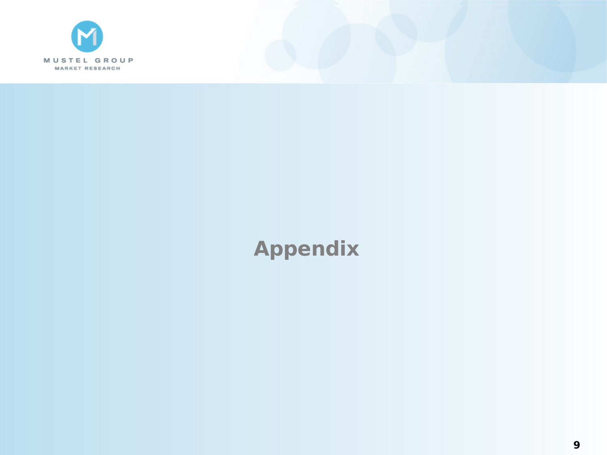

# **Appendix**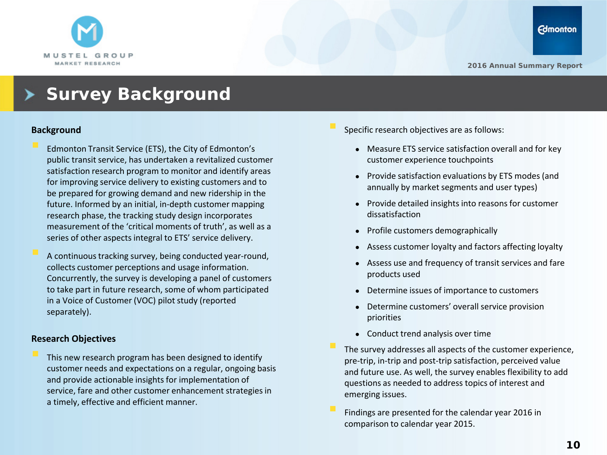

## **Survey Background**

#### **Background**

- Edmonton Transit Service (ETS), the City of Edmonton's public transit service, has undertaken a revitalized customer satisfaction research program to monitor and identify areas for improving service delivery to existing customers and to be prepared for growing demand and new ridership in the future. Informed by an initial, in-depth customer mapping research phase, the tracking study design incorporates measurement of the 'critical moments of truth', as well as a series of other aspects integral to ETS' service delivery.
- A continuous tracking survey, being conducted year-round, collects customer perceptions and usage information. Concurrently, the survey is developing a panel of customers to take part in future research, some of whom participated in a Voice of Customer (VOC) pilot study (reported separately).

#### **Research Objectives**

 This new research program has been designed to identify customer needs and expectations on a regular, ongoing basis and provide actionable insights for implementation of service, fare and other customer enhancement strategies in a timely, effective and efficient manner.

- Specific research objectives are as follows:
	- Measure ETS service satisfaction overall and for key customer experience touchpoints
	- Provide satisfaction evaluations by ETS modes (and annually by market segments and user types)
	- Provide detailed insights into reasons for customer dissatisfaction
	- Profile customers demographically
	- Assess customer loyalty and factors affecting loyalty
	- Assess use and frequency of transit services and fare products used
	- Determine issues of importance to customers
	- Determine customers' overall service provision priorities
	- Conduct trend analysis over time
- The survey addresses all aspects of the customer experience, pre-trip, in-trip and post-trip satisfaction, perceived value and future use. As well, the survey enables flexibility to add questions as needed to address topics of interest and emerging issues.
- Findings are presented for the calendar year 2016 in comparison to calendar year 2015.